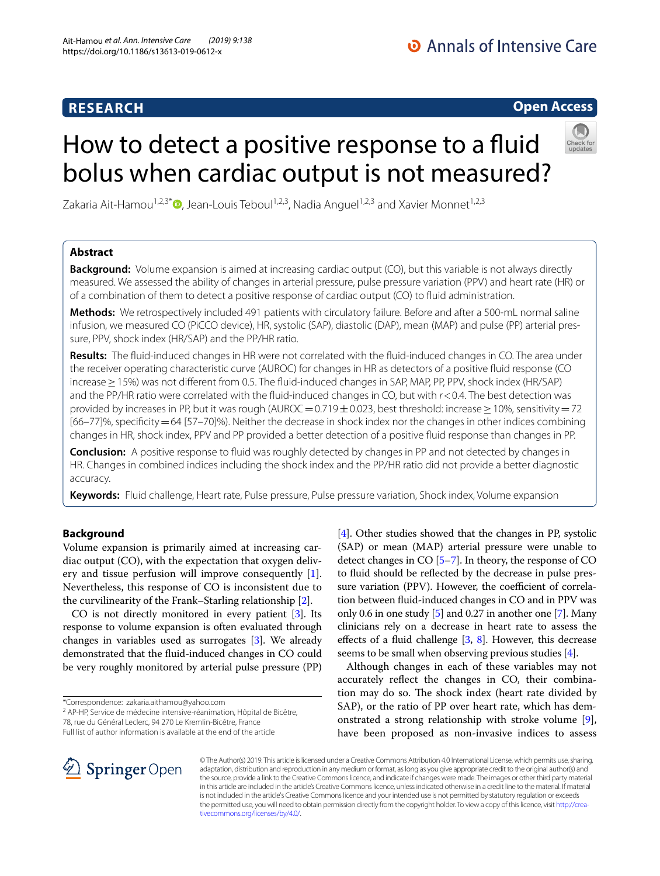# **RESEARCH**

# **Open Access**

# How to detect a positive response to a fluid bolus when cardiac output is not measured?



Zakaria Ait-Hamou<sup>1[,](http://orcid.org/0000-0002-4242-6224)2,3\*</sup> $\bullet$ , Jean-Louis Teboul<sup>1,2,3</sup>, Nadia Anguel<sup>1,2,3</sup> and Xavier Monnet<sup>1,2,3</sup>

# **Abstract**

**Background:** Volume expansion is aimed at increasing cardiac output (CO), but this variable is not always directly measured. We assessed the ability of changes in arterial pressure, pulse pressure variation (PPV) and heart rate (HR) or of a combination of them to detect a positive response of cardiac output (CO) to fuid administration.

**Methods:** We retrospectively included 491 patients with circulatory failure. Before and after a 500-mL normal saline infusion, we measured CO (PiCCO device), HR, systolic (SAP), diastolic (DAP), mean (MAP) and pulse (PP) arterial pres‑ sure, PPV, shock index (HR/SAP) and the PP/HR ratio.

**Results:** The fuid-induced changes in HR were not correlated with the fuid-induced changes in CO. The area under the receiver operating characteristic curve (AUROC) for changes in HR as detectors of a positive fuid response (CO increase≥15%) was not diferent from 0.5. The fuid-induced changes in SAP, MAP, PP, PPV, shock index (HR/SAP) and the PP/HR ratio were correlated with the fuid-induced changes in CO, but with *r*<0.4. The best detection was provided by increases in PP, but it was rough (AUROC = 0.719±0.023, best threshold: increase ≥ 10%, sensitivity = 72 [66–77]%, specificity = 64 [57–70]%). Neither the decrease in shock index nor the changes in other indices combining changes in HR, shock index, PPV and PP provided a better detection of a positive fuid response than changes in PP.

**Conclusion:** A positive response to fuid was roughly detected by changes in PP and not detected by changes in HR. Changes in combined indices including the shock index and the PP/HR ratio did not provide a better diagnostic accuracy.

**Keywords:** Fluid challenge, Heart rate, Pulse pressure, Pulse pressure variation, Shock index, Volume expansion

## **Background**

Volume expansion is primarily aimed at increasing cardiac output (CO), with the expectation that oxygen delivery and tissue perfusion will improve consequently [\[1](#page-7-0)]. Nevertheless, this response of CO is inconsistent due to the curvilinearity of the Frank–Starling relationship [\[2\]](#page-7-1).

CO is not directly monitored in every patient [\[3\]](#page-7-2). Its response to volume expansion is often evaluated through changes in variables used as surrogates [\[3](#page-7-2)]. We already demonstrated that the fuid-induced changes in CO could be very roughly monitored by arterial pulse pressure (PP)

\*Correspondence: zakaria.aithamou@yahoo.com

<sup>2</sup> AP-HP, Service de médecine intensive-réanimation, Hôpital de Bicêtre, 78, rue du Général Leclerc, 94 270 Le Kremlin‑Bicêtre, France

Full list of author information is available at the end of the article

[[4\]](#page-7-3). Other studies showed that the changes in PP, systolic (SAP) or mean (MAP) arterial pressure were unable to detect changes in CO [\[5](#page-7-4)[–7\]](#page-7-5). In theory, the response of CO to fuid should be refected by the decrease in pulse pressure variation (PPV). However, the coefficient of correlation between fuid-induced changes in CO and in PPV was only 0.6 in one study [[5\]](#page-7-4) and 0.27 in another one [\[7\]](#page-7-5). Many clinicians rely on a decrease in heart rate to assess the effects of a fluid challenge  $[3, 8]$  $[3, 8]$  $[3, 8]$  $[3, 8]$  $[3, 8]$ . However, this decrease seems to be small when observing previous studies [\[4\]](#page-7-3).

Although changes in each of these variables may not accurately refect the changes in CO, their combination may do so. The shock index (heart rate divided by SAP), or the ratio of PP over heart rate, which has demonstrated a strong relationship with stroke volume [\[9](#page-7-7)], have been proposed as non-invasive indices to assess



© The Author(s) 2019. This article is licensed under a Creative Commons Attribution 4.0 International License, which permits use, sharing, adaptation, distribution and reproduction in any medium or format, as long as you give appropriate credit to the original author(s) and the source, provide a link to the Creative Commons licence, and indicate if changes were made. The images or other third party material in this article are included in the article's Creative Commons licence, unless indicated otherwise in a credit line to the material. If material is not included in the article's Creative Commons licence and your intended use is not permitted by statutory regulation or exceeds the permitted use, you will need to obtain permission directly from the copyright holder. To view a copy of this licence, visit http://crea[tivecommons.org/licenses/by/4.0/.](http://creativecommons.org/licenses/by/4.0/)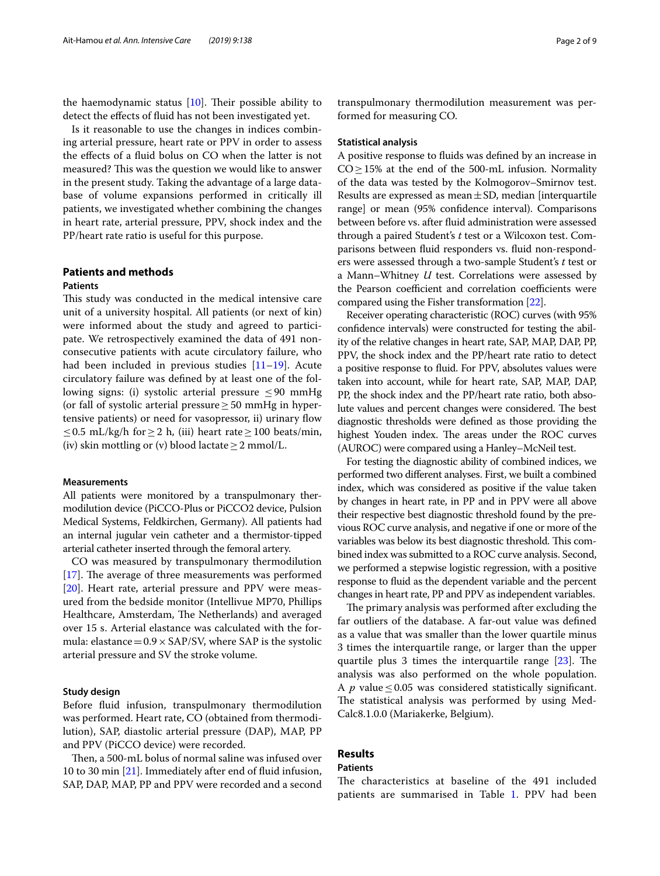the haemodynamic status  $[10]$  $[10]$ . Their possible ability to detect the efects of fuid has not been investigated yet.

Is it reasonable to use the changes in indices combining arterial pressure, heart rate or PPV in order to assess the efects of a fuid bolus on CO when the latter is not measured? This was the question we would like to answer in the present study. Taking the advantage of a large database of volume expansions performed in critically ill patients, we investigated whether combining the changes in heart rate, arterial pressure, PPV, shock index and the PP/heart rate ratio is useful for this purpose.

## **Patients and methods Patients**

This study was conducted in the medical intensive care unit of a university hospital. All patients (or next of kin) were informed about the study and agreed to participate. We retrospectively examined the data of 491 nonconsecutive patients with acute circulatory failure, who had been included in previous studies [\[11](#page-8-0)[–19](#page-8-1)]. Acute circulatory failure was defned by at least one of the following signs: (i) systolic arterial pressure ≤90 mmHg (or fall of systolic arterial pressure  $\geq$  50 mmHg in hypertensive patients) or need for vasopressor, ii) urinary fow ≤0.5 mL/kg/h for ≥ 2 h, (iii) heart rate ≥ 100 beats/min, (iv) skin mottling or (v) blood lactate  $\geq 2$  mmol/L.

## **Measurements**

All patients were monitored by a transpulmonary thermodilution device (PiCCO-Plus or PiCCO2 device, Pulsion Medical Systems, Feldkirchen, Germany). All patients had an internal jugular vein catheter and a thermistor-tipped arterial catheter inserted through the femoral artery.

CO was measured by transpulmonary thermodilution  $[17]$  $[17]$ . The average of three measurements was performed [[20\]](#page-8-3). Heart rate, arterial pressure and PPV were measured from the bedside monitor (Intellivue MP70, Phillips Healthcare, Amsterdam, The Netherlands) and averaged over 15 s. Arterial elastance was calculated with the formula: elastance =  $0.9 \times$  SAP/SV, where SAP is the systolic arterial pressure and SV the stroke volume.

### **Study design**

Before fuid infusion, transpulmonary thermodilution was performed. Heart rate, CO (obtained from thermodilution), SAP, diastolic arterial pressure (DAP), MAP, PP and PPV (PiCCO device) were recorded.

Then, a 500-mL bolus of normal saline was infused over 10 to 30 min [\[21](#page-8-4)]. Immediately after end of fuid infusion, SAP, DAP, MAP, PP and PPV were recorded and a second transpulmonary thermodilution measurement was performed for measuring CO.

#### **Statistical analysis**

A positive response to fuids was defned by an increase in  $CO \ge 15%$  at the end of the 500-mL infusion. Normality of the data was tested by the Kolmogorov–Smirnov test. Results are expressed as mean $\pm$ SD, median [interquartile range] or mean (95% confdence interval). Comparisons between before vs. after fuid administration were assessed through a paired Student's *t* test or a Wilcoxon test. Comparisons between fuid responders vs. fuid non-responders were assessed through a two-sample Student's *t* test or a Mann–Whitney *U* test. Correlations were assessed by the Pearson coefficient and correlation coefficients were compared using the Fisher transformation [\[22\]](#page-8-5).

Receiver operating characteristic (ROC) curves (with 95% confdence intervals) were constructed for testing the ability of the relative changes in heart rate, SAP, MAP, DAP, PP, PPV, the shock index and the PP/heart rate ratio to detect a positive response to fuid. For PPV, absolutes values were taken into account, while for heart rate, SAP, MAP, DAP, PP, the shock index and the PP/heart rate ratio, both absolute values and percent changes were considered. The best diagnostic thresholds were defned as those providing the highest Youden index. The areas under the ROC curves (AUROC) were compared using a Hanley–McNeil test.

For testing the diagnostic ability of combined indices, we performed two diferent analyses. First, we built a combined index, which was considered as positive if the value taken by changes in heart rate, in PP and in PPV were all above their respective best diagnostic threshold found by the previous ROC curve analysis, and negative if one or more of the variables was below its best diagnostic threshold. This combined index was submitted to a ROC curve analysis. Second, we performed a stepwise logistic regression, with a positive response to fuid as the dependent variable and the percent changes in heart rate, PP and PPV as independent variables.

The primary analysis was performed after excluding the far outliers of the database. A far-out value was defned as a value that was smaller than the lower quartile minus 3 times the interquartile range, or larger than the upper quartile plus 3 times the interquartile range  $[23]$  $[23]$ . The analysis was also performed on the whole population. A  $p$  value  $\leq$  0.05 was considered statistically significant. The statistical analysis was performed by using Med-Calc8.1.0.0 (Mariakerke, Belgium).

# **Results**

## **Patients**

The characteristics at baseline of the 491 included patients are summarised in Table [1](#page-2-0). PPV had been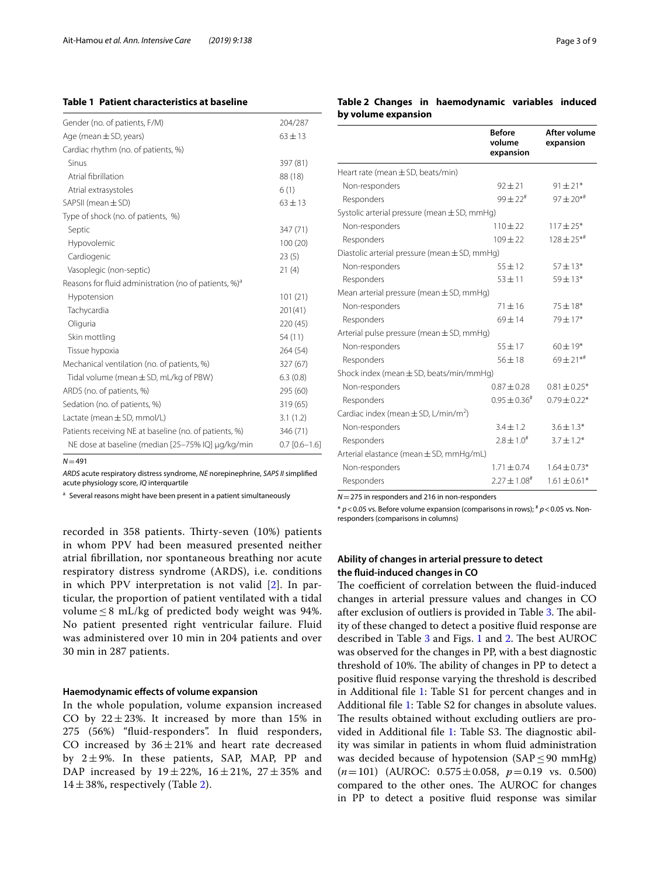## <span id="page-2-0"></span>**Table 1 Patient characteristics at baseline**

| Gender (no. of patients, F/M)                                     | 204/287         |
|-------------------------------------------------------------------|-----------------|
| Age (mean $\pm$ SD, years)                                        | $63 \pm 13$     |
| Cardiac rhythm (no. of patients, %)                               |                 |
| Sinus                                                             | 397 (81)        |
| Atrial fibrillation                                               | 88 (18)         |
| Atrial extrasystoles                                              | 6(1)            |
| SAPSII (mean $\pm$ SD)                                            | $63 + 13$       |
| Type of shock (no. of patients, %)                                |                 |
| Septic                                                            | 347 (71)        |
| Hypovolemic                                                       | 100(20)         |
| Cardiogenic                                                       | 23(5)           |
| Vasoplegic (non-septic)                                           | 21(4)           |
| Reasons for fluid administration (no of patients, %) <sup>a</sup> |                 |
| Hypotension                                                       | 101(21)         |
| Tachycardia                                                       | 201(41)         |
| Oliguria                                                          | 220 (45)        |
| Skin mottling                                                     | 54 (11)         |
| Tissue hypoxia                                                    | 264 (54)        |
| Mechanical ventilation (no. of patients, %)                       | 327 (67)        |
| Tidal volume (mean $\pm$ SD, mL/kg of PBW)                        | 6.3(0.8)        |
| ARDS (no. of patients, %)                                         | 295 (60)        |
| Sedation (no. of patients, %)                                     | 319 (65)        |
| Lactate (mean $\pm$ SD, mmol/L)                                   | 3.1(1.2)        |
| Patients receiving NE at baseline (no. of patients, %)            | 346 (71)        |
| NE dose at baseline (median [25-75% IQ] µg/kg/min                 | $0.7$ [0.6-1.6] |
|                                                                   |                 |

 $N = 491$ 

*ARDS* acute respiratory distress syndrome, *NE* norepinephrine, *SAPS II* simplifed acute physiology score, *IQ* interquartile

<sup>a</sup> Several reasons might have been present in a patient simultaneously

recorded in 358 patients. Thirty-seven (10%) patients in whom PPV had been measured presented neither atrial fbrillation, nor spontaneous breathing nor acute respiratory distress syndrome (ARDS), i.e. conditions in which PPV interpretation is not valid [\[2](#page-7-1)]. In particular, the proportion of patient ventilated with a tidal volume  $\leq$  8 mL/kg of predicted body weight was 94%. No patient presented right ventricular failure. Fluid was administered over 10 min in 204 patients and over 30 min in 287 patients.

#### **Haemodynamic efects of volume expansion**

In the whole population, volume expansion increased CO by  $22 \pm 23$ %. It increased by more than 15% in 275 (56%) "fuid-responders". In fuid responders, CO increased by  $36 \pm 21\%$  and heart rate decreased by  $2\pm9\%$ . In these patients, SAP, MAP, PP and DAP increased by  $19 \pm 22\%$ ,  $16 \pm 21\%$ ,  $27 \pm 35\%$  and  $14 \pm 38$ %, respectively (Table [2\)](#page-2-1).

## <span id="page-2-1"></span>**Table 2 Changes in haemodynamic variables induced by volume expansion**

|                                                      | <b>Before</b><br>volume<br>expansion | After volume<br>expansion   |
|------------------------------------------------------|--------------------------------------|-----------------------------|
| Heart rate (mean $\pm$ SD, beats/min)                |                                      |                             |
| Non-responders                                       | $92 + 21$                            | $91 \pm 21*$                |
| Responders                                           | $99 \pm 22^{\text{*}}$               | $97 \pm 20**$               |
| Systolic arterial pressure (mean $\pm$ SD, mmHg)     |                                      |                             |
| Non-responders                                       | $110 + 22$                           | $117 \pm 25*$               |
| Responders                                           | $109 + 22$                           | $128 \pm 25$ * <sup>#</sup> |
| Diastolic arterial pressure (mean $\pm$ SD, mmHg)    |                                      |                             |
| Non-responders                                       | $55 + 12$                            | $57 \pm 13*$                |
| Responders                                           | $53 + 11$                            | $59 \pm 13*$                |
| Mean arterial pressure (mean $\pm$ SD, mmHg)         |                                      |                             |
| Non-responders                                       | $71 + 16$                            | $75 \pm 18*$                |
| Responders                                           | $69 + 14$                            | $79 \pm 17*$                |
| Arterial pulse pressure (mean $\pm$ SD, mmHg)        |                                      |                             |
| Non-responders                                       | $55 + 17$                            | $60 \pm 19*$                |
| Responders                                           | $56 + 18$                            | $69 \pm 21***$              |
| Shock index (mean $\pm$ SD, beats/min/mmHg)          |                                      |                             |
| Non-responders                                       | $0.87 + 0.28$                        | $0.81 \pm 0.25$ *           |
| Responders                                           | $0.95 \pm 0.36^{\#}$                 | $0.79 \pm 0.22*$            |
| Cardiac index (mean $\pm$ SD, L/min/m <sup>2</sup> ) |                                      |                             |
| Non-responders                                       | $3.4 + 1.2$                          | $3.6 \pm 1.3*$              |
| Responders                                           | $7.8 \pm 1.0^{\#}$                   | $3.7 \pm 1.2^*$             |
| Arterial elastance (mean ± SD, mmHg/mL)              |                                      |                             |
| Non-responders                                       | $1.71 + 0.74$                        | $1.64 \pm 0.73*$            |
| Responders                                           | $2.27 \pm 1.08^{\text{*}}$           | $1.61 \pm 0.61*$            |

*N*=275 in responders and 216 in non-responders

\* *p*<0.05 vs. Before volume expansion (comparisons in rows); # *p*<0.05 vs. Nonresponders (comparisons in columns)

## **Ability of changes in arterial pressure to detect the fuid‑induced changes in CO**

The coefficient of correlation between the fluid-induced changes in arterial pressure values and changes in CO after exclusion of outliers is provided in Table [3.](#page-3-0) The ability of these changed to detect a positive fuid response are described in Table  $3$  and Figs. [1](#page-4-0) and  $2$ . The best AUROC was observed for the changes in PP, with a best diagnostic threshold of 10%. The ability of changes in PP to detect a positive fuid response varying the threshold is described in Additional fle [1](#page-7-9): Table S1 for percent changes and in Additional fle [1:](#page-7-9) Table S2 for changes in absolute values. The results obtained without excluding outliers are provided in Additional file  $1$ : Table S3. The diagnostic ability was similar in patients in whom fuid administration was decided because of hypotension  $(SAP \le 90 \text{ mmHg})$ (*n*=101) (AUROC: 0.575±0.058, *p*=0.19 vs. 0.500) compared to the other ones. The AUROC for changes in PP to detect a positive fuid response was similar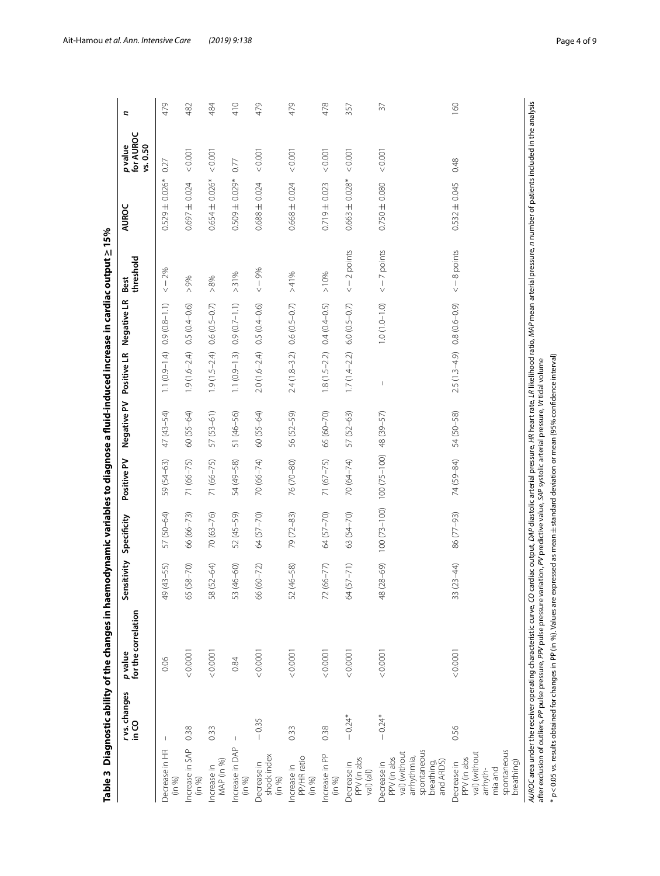<span id="page-3-0"></span>

| I                             |
|-------------------------------|
|                               |
|                               |
|                               |
|                               |
|                               |
|                               |
|                               |
|                               |
|                               |
|                               |
|                               |
|                               |
|                               |
|                               |
|                               |
|                               |
|                               |
|                               |
|                               |
|                               |
|                               |
|                               |
|                               |
|                               |
|                               |
|                               |
|                               |
|                               |
|                               |
|                               |
|                               |
|                               |
|                               |
|                               |
|                               |
|                               |
|                               |
|                               |
|                               |
|                               |
| Í                             |
|                               |
|                               |
| l<br>$\overline{\phantom{a}}$ |

|                                                                                                      | rvs.changes<br>S⊃ui | for the correlation<br>p value                                                                                                                                                                                                                                                                                                                                         | Sensitivity         | Specificity                 | Positive PV   | Negative PV | Positive LR       | Negative LR       | threshold<br>Best | AUROC               | for AUROC<br>vs. 0.50<br><i>p</i> value | ς          |
|------------------------------------------------------------------------------------------------------|---------------------|------------------------------------------------------------------------------------------------------------------------------------------------------------------------------------------------------------------------------------------------------------------------------------------------------------------------------------------------------------------------|---------------------|-----------------------------|---------------|-------------|-------------------|-------------------|-------------------|---------------------|-----------------------------------------|------------|
| Decrease in HR<br>(in 96)                                                                            | 1                   | 0.06                                                                                                                                                                                                                                                                                                                                                                   | 49 (43-55)          | 57 (50-64)                  | 59 (54-63)    | 47 (43-54)  | $1.1(0.9 - 1.4)$  | $0.9(0.8 - 1.1)$  | $-2%$<br>$\vee$   | $0.529 \pm 0.026*$  | 0.27                                    | 479        |
| Increase in SAP<br>(in 96)                                                                           | 0.38                | < 0.0001                                                                                                                                                                                                                                                                                                                                                               | $(0.7 - 8)$<br>65(5 | 66 (66-73)                  | 71 (66-75)    | 60 (55-64)  | $1.9(1.6 - 2.4)$  | $0.5(0.4 - 0.6)$  | $>9\%$            | $0.697 \pm 0.024$   | 0.001                                   | 482        |
| MAP (in %)<br>Increase in                                                                            | 0.33                | 0.0001                                                                                                                                                                                                                                                                                                                                                                 | 58 (52-64)          | $70(63 - 76)$               | 71 (66-75)    | 57 (53-61)  | $1.9(1.5 - 2.4)$  | $0.6(0.5 - 0.7)$  | $>8\%$            | $0.654 \pm 0.026*$  | 0.001                                   | 484        |
| Increase in DAP<br>(in 96)                                                                           | $\mathsf I$         | 0.84                                                                                                                                                                                                                                                                                                                                                                   | 53 (46-60)          | 52 (45-59)                  | 54 (49-58)    | 51 (46-56)  | $1.1 (0.9 - 1.3)$ | $0.9(0.7 - 1.1)$  | > 31%             | $0.509 \pm 0.029$ * | 0.77                                    | 410        |
| shock index<br>Decrease in<br>(in 96)                                                                | $-0.35$             | 0.0001                                                                                                                                                                                                                                                                                                                                                                 | 66 (60-72)          | 64 (57-70)                  | $70(66 - 74)$ | 60 (55-64)  | $2.0(1.6 - 2.4)$  | $0.5(0.4 - 0.6)$  | $ < -9\%$         | $0.688 \pm 0.024$   | 0.001                                   | 479        |
| PP/HR ratio<br>Increase in<br>(in 96)                                                                | 0.33                | 0.0001                                                                                                                                                                                                                                                                                                                                                                 | 52 (46-58)          | 79 (72-83)                  | 76 (70-80)    | 56 (52-59)  | $2.4(1.8 - 3.2)$  | $0.6(0.5 - 0.7)$  | >41%              | $0.668 \pm 0.024$   | 0.001                                   | 479        |
| Increase in PP<br>(in 96)                                                                            | 0.38                | 0.0001                                                                                                                                                                                                                                                                                                                                                                 | $72(66 - 77)$       | 64 (57-70)                  | 71 (67-75)    | 65 (60-70)  | $1.8(1.5 - 2.2)$  | $0.4(0.4 - 0.5)$  | $>10\%$           | $0.719 \pm 0.023$   | 0.001                                   | 478        |
| PPV (in abs<br>Decrease in<br>$Val)$ (all)                                                           | $-0.24*$            | 0.0001                                                                                                                                                                                                                                                                                                                                                                 | 64 (57-71)          | 63 (54-70)                  | 70 (64-74)    | 57 (52-63)  | $1.7(1.4 - 2.2)$  | $6.0 (0.5 - 0.7)$ | $<-2$ points      | $0.663 \pm 0.028*$  | 0.001                                   | 357        |
| spontaneous<br>val) (without<br>arrhythmia,<br>PPV (in abs<br>and ARDS)<br>Decrease in<br>breathing, | $-0.24*$            | 0.0001                                                                                                                                                                                                                                                                                                                                                                 | 48 (28-69)          | $100(73-100)$ $100(75-100)$ |               | 48 (39-57)  | $\mathsf I$       | $1.0(1.0 - 1.0)$  | $<-7$ points      | $0.750 \pm 0.080$   | < 0.001                                 | $\sqrt{2}$ |
| spontaneous<br>val) (without<br>PPV (in abs<br>breathing)<br>Decrease in<br>mia and<br>arrhyth-      | 0.56                | 0.0001                                                                                                                                                                                                                                                                                                                                                                 | $33(23 - 44)$       | 86 (77-93)                  | 74 (59-84)    | 54 (50-58)  | $2.5(1.3-4.9)$    | $0.8(0.6 - 0.9)$  | $\leq -8$ points  | $0.532 \pm 0.045$   | 0.48                                    | 160        |
|                                                                                                      |                     | AUROC area under the receiver operating characteristic curve, CO cardiac output, DAP diastolic arterial pressure, IR ilkelihood ratio, MAP mean arterial pressure, n number of patients included in the analysis<br>after exclusion of outliers, PP pulse pressure, PPV pulse pressure variation, PV predictive value, SAP systolic arterial pressure, Vt tidal volume |                     |                             |               |             |                   |                   |                   |                     |                                         |            |

\* *p*<0.05 vs. results obtained for changes in PP (in %). Values are expressed as mean

±standard deviation or mean (95% confdence interval)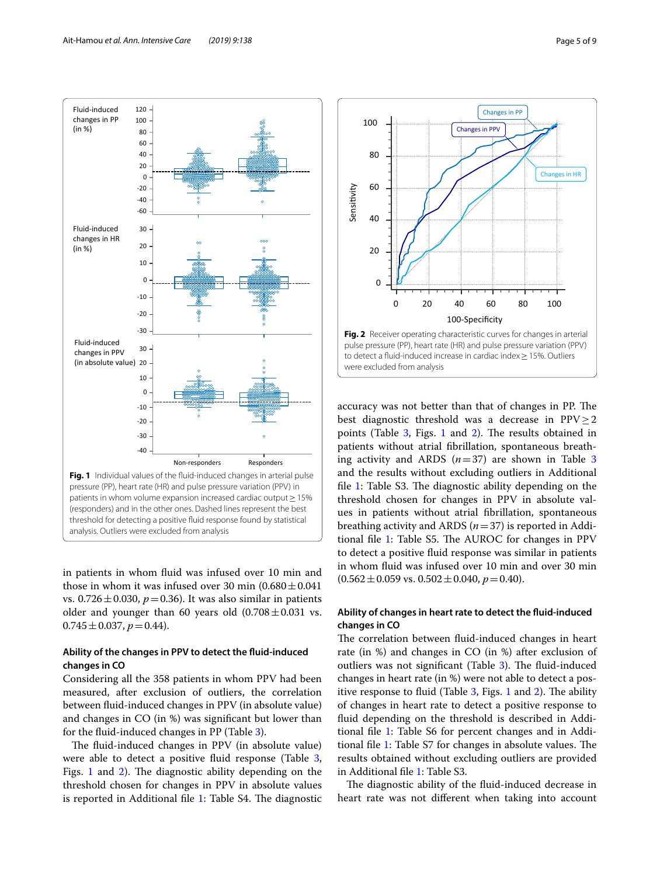

<span id="page-4-0"></span>in patients in whom fuid was infused over 10 min and those in whom it was infused over 30 min  $(0.680 \pm 0.041)$ vs.  $0.726 \pm 0.030$ ,  $p = 0.36$ ). It was also similar in patients older and younger than 60 years old  $(0.708 \pm 0.031$  vs.  $0.745 \pm 0.037, p = 0.44$ .

## **Ability of the changes in PPV to detect the fuid‑induced changes in CO**

Considering all the 358 patients in whom PPV had been measured, after exclusion of outliers, the correlation between fuid-induced changes in PPV (in absolute value) and changes in CO (in %) was signifcant but lower than for the fuid-induced changes in PP (Table [3](#page-3-0)).

The fluid-induced changes in PPV (in absolute value) were able to detect a positive fluid response (Table [3](#page-3-0), Figs.  $1$  and  $2$ ). The diagnostic ability depending on the threshold chosen for changes in PPV in absolute values is reported in Additional file  $1$ : Table S4. The diagnostic



<span id="page-4-1"></span>accuracy was not better than that of changes in PP. The best diagnostic threshold was a decrease in  $PPV > 2$ points (Table [3,](#page-3-0) Figs. [1](#page-4-0) and [2\)](#page-4-1). The results obtained in patients without atrial fbrillation, spontaneous breathing activity and ARDS  $(n=37)$  $(n=37)$  $(n=37)$  are shown in Table 3 and the results without excluding outliers in Additional file [1](#page-7-9): Table S3. The diagnostic ability depending on the threshold chosen for changes in PPV in absolute values in patients without atrial fbrillation, spontaneous breathing activity and ARDS (*n*=37) is reported in Additional file  $1$ : Table S5. The AUROC for changes in PPV to detect a positive fuid response was similar in patients in whom fuid was infused over 10 min and over 30 min  $(0.562 \pm 0.059 \text{ vs. } 0.502 \pm 0.040, p = 0.40).$ 

## **Ability of changes in heart rate to detect the fuid‑induced changes in CO**

The correlation between fluid-induced changes in heart rate (in %) and changes in CO (in %) after exclusion of outliers was not significant (Table  $3$ ). The fluid-induced changes in heart rate (in %) were not able to detect a positive response to fluid (Table  $3$ , Figs. [1](#page-4-0) and [2](#page-4-1)). The ability of changes in heart rate to detect a positive response to fuid depending on the threshold is described in Addi-tional file [1:](#page-7-9) Table S6 for percent changes and in Addi-tional file [1](#page-7-9): Table S7 for changes in absolute values. The results obtained without excluding outliers are provided in Additional fle [1:](#page-7-9) Table S3.

The diagnostic ability of the fluid-induced decrease in heart rate was not diferent when taking into account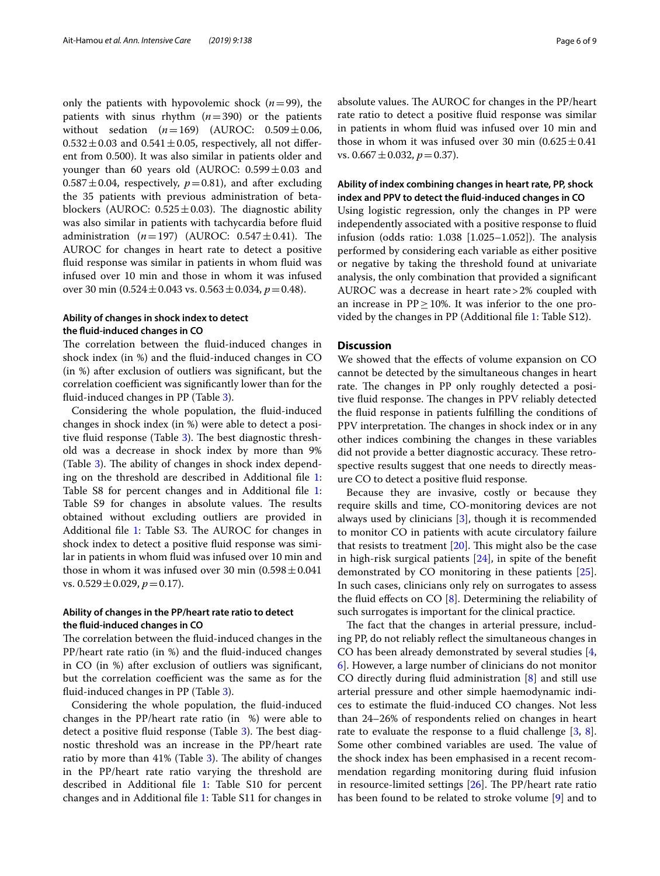only the patients with hypovolemic shock  $(n=99)$ , the patients with sinus rhythm (*n*=390) or the patients without sedation  $(n=169)$  (AUROC:  $0.509 \pm 0.06$ ,  $0.532 \pm 0.03$  and  $0.541 \pm 0.05$ , respectively, all not different from 0.500). It was also similar in patients older and younger than 60 years old (AUROC:  $0.599 \pm 0.03$  and  $0.587 \pm 0.04$ , respectively,  $p=0.81$ ), and after excluding the 35 patients with previous administration of betablockers (AUROC:  $0.525 \pm 0.03$ ). The diagnostic ability was also similar in patients with tachycardia before fuid administration  $(n=197)$  (AUROC:  $0.547 \pm 0.41$ ). The AUROC for changes in heart rate to detect a positive fuid response was similar in patients in whom fuid was infused over 10 min and those in whom it was infused over 30 min (0.524±0.043 vs. 0.563±0.034, *p*=0.48).

## **Ability of changes in shock index to detect the fuid‑induced changes in CO**

The correlation between the fluid-induced changes in shock index (in %) and the fuid-induced changes in CO (in %) after exclusion of outliers was signifcant, but the correlation coefficient was significantly lower than for the fuid-induced changes in PP (Table [3\)](#page-3-0).

Considering the whole population, the fuid-induced changes in shock index (in %) were able to detect a positive fluid response (Table  $3$ ). The best diagnostic threshold was a decrease in shock index by more than 9% (Table [3](#page-3-0)). The ability of changes in shock index depending on the threshold are described in Additional fle [1](#page-7-9): Table S8 for percent changes and in Additional file [1](#page-7-9): Table S9 for changes in absolute values. The results obtained without excluding outliers are provided in Additional file [1](#page-7-9): Table S3. The AUROC for changes in shock index to detect a positive fuid response was similar in patients in whom fuid was infused over 10 min and those in whom it was infused over 30 min  $(0.598 \pm 0.041)$ vs.  $0.529 \pm 0.029$ ,  $p = 0.17$ ).

## **Ability of changes in the PP/heart rate ratio to detect the fuid‑induced changes in CO**

The correlation between the fluid-induced changes in the PP/heart rate ratio (in %) and the fuid-induced changes in CO (in %) after exclusion of outliers was signifcant, but the correlation coefficient was the same as for the fuid-induced changes in PP (Table [3\)](#page-3-0).

Considering the whole population, the fuid-induced changes in the PP/heart rate ratio (in %) were able to detect a positive fluid response (Table  $3$ ). The best diagnostic threshold was an increase in the PP/heart rate ratio by more than  $41\%$  (Table [3](#page-3-0)). The ability of changes in the PP/heart rate ratio varying the threshold are described in Additional fle [1:](#page-7-9) Table S10 for percent changes and in Additional fle [1](#page-7-9): Table S11 for changes in absolute values. The AUROC for changes in the PP/heart rate ratio to detect a positive fuid response was similar in patients in whom fuid was infused over 10 min and those in whom it was infused over 30 min  $(0.625 \pm 0.41)$ vs.  $0.667 \pm 0.032$ ,  $p = 0.37$ ).

## **Ability of index combining changes in heart rate, PP, shock index and PPV to detect the fuid‑induced changes in CO**

Using logistic regression, only the changes in PP were independently associated with a positive response to fuid infusion (odds ratio:  $1.038$  [ $1.025-1.052$ ]). The analysis performed by considering each variable as either positive or negative by taking the threshold found at univariate analysis, the only combination that provided a signifcant AUROC was a decrease in heart rate>2% coupled with an increase in  $PP \geq 10\%$ . It was inferior to the one provided by the changes in PP (Additional fle [1](#page-7-9): Table S12).

## **Discussion**

We showed that the efects of volume expansion on CO cannot be detected by the simultaneous changes in heart rate. The changes in PP only roughly detected a positive fluid response. The changes in PPV reliably detected the fuid response in patients fulflling the conditions of PPV interpretation. The changes in shock index or in any other indices combining the changes in these variables did not provide a better diagnostic accuracy. These retrospective results suggest that one needs to directly measure CO to detect a positive fuid response.

Because they are invasive, costly or because they require skills and time, CO-monitoring devices are not always used by clinicians [[3\]](#page-7-2), though it is recommended to monitor CO in patients with acute circulatory failure that resists to treatment  $[20]$  $[20]$ . This might also be the case in high-risk surgical patients  $[24]$  $[24]$ , in spite of the benefit demonstrated by CO monitoring in these patients [\[25](#page-8-8)]. In such cases, clinicians only rely on surrogates to assess the fluid effects on CO  $[8]$  $[8]$ . Determining the reliability of such surrogates is important for the clinical practice.

The fact that the changes in arterial pressure, including PP, do not reliably refect the simultaneous changes in CO has been already demonstrated by several studies [\[4](#page-7-3), [6\]](#page-7-10). However, a large number of clinicians do not monitor CO directly during fuid administration [[8\]](#page-7-6) and still use arterial pressure and other simple haemodynamic indices to estimate the fuid-induced CO changes. Not less than 24–26% of respondents relied on changes in heart rate to evaluate the response to a fluid challenge  $[3, 8]$  $[3, 8]$  $[3, 8]$  $[3, 8]$ . Some other combined variables are used. The value of the shock index has been emphasised in a recent recommendation regarding monitoring during fuid infusion in resource-limited settings  $[26]$  $[26]$ . The PP/heart rate ratio has been found to be related to stroke volume [\[9](#page-7-7)] and to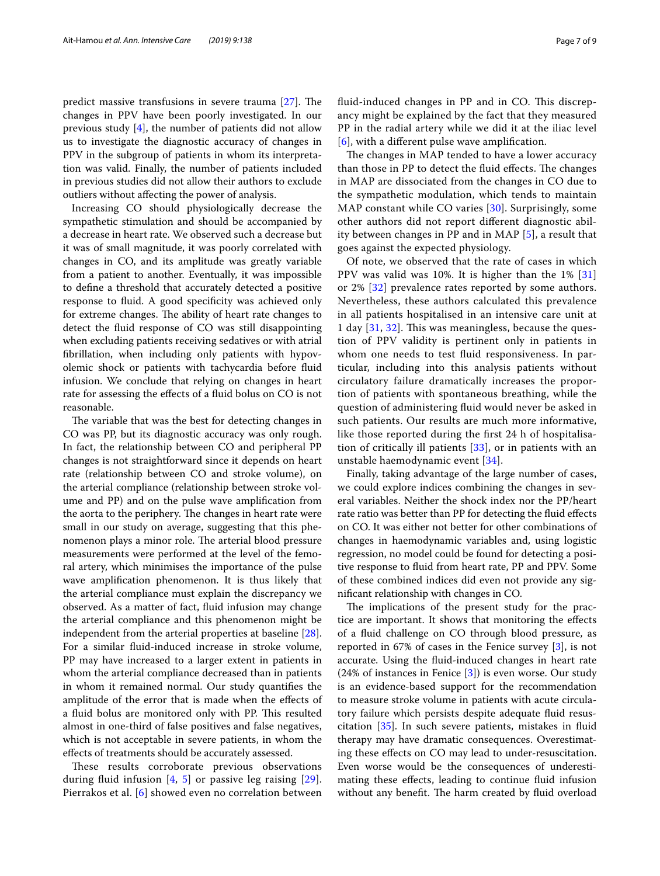predict massive transfusions in severe trauma  $[27]$  $[27]$ . The changes in PPV have been poorly investigated. In our previous study [\[4](#page-7-3)], the number of patients did not allow us to investigate the diagnostic accuracy of changes in PPV in the subgroup of patients in whom its interpretation was valid. Finally, the number of patients included in previous studies did not allow their authors to exclude outliers without afecting the power of analysis.

Increasing CO should physiologically decrease the sympathetic stimulation and should be accompanied by a decrease in heart rate. We observed such a decrease but it was of small magnitude, it was poorly correlated with changes in CO, and its amplitude was greatly variable from a patient to another. Eventually, it was impossible to defne a threshold that accurately detected a positive response to fuid. A good specifcity was achieved only for extreme changes. The ability of heart rate changes to detect the fuid response of CO was still disappointing when excluding patients receiving sedatives or with atrial fbrillation, when including only patients with hypovolemic shock or patients with tachycardia before fuid infusion. We conclude that relying on changes in heart rate for assessing the efects of a fuid bolus on CO is not reasonable.

The variable that was the best for detecting changes in CO was PP, but its diagnostic accuracy was only rough. In fact, the relationship between CO and peripheral PP changes is not straightforward since it depends on heart rate (relationship between CO and stroke volume), on the arterial compliance (relationship between stroke volume and PP) and on the pulse wave amplifcation from the aorta to the periphery. The changes in heart rate were small in our study on average, suggesting that this phenomenon plays a minor role. The arterial blood pressure measurements were performed at the level of the femoral artery, which minimises the importance of the pulse wave amplifcation phenomenon. It is thus likely that the arterial compliance must explain the discrepancy we observed. As a matter of fact, fuid infusion may change the arterial compliance and this phenomenon might be independent from the arterial properties at baseline [\[28](#page-8-11)]. For a similar fuid-induced increase in stroke volume, PP may have increased to a larger extent in patients in whom the arterial compliance decreased than in patients in whom it remained normal. Our study quantifes the amplitude of the error that is made when the efects of a fluid bolus are monitored only with PP. This resulted almost in one-third of false positives and false negatives, which is not acceptable in severe patients, in whom the efects of treatments should be accurately assessed.

These results corroborate previous observations during fluid infusion  $[4, 5]$  $[4, 5]$  $[4, 5]$  $[4, 5]$  or passive leg raising  $[29]$  $[29]$ . Pierrakos et al. [\[6](#page-7-10)] showed even no correlation between fluid-induced changes in PP and in CO. This discrepancy might be explained by the fact that they measured PP in the radial artery while we did it at the iliac level [[6](#page-7-10)], with a diferent pulse wave amplifcation.

The changes in MAP tended to have a lower accuracy than those in PP to detect the fluid effects. The changes in MAP are dissociated from the changes in CO due to the sympathetic modulation, which tends to maintain MAP constant while CO varies [\[30](#page-8-13)]. Surprisingly, some other authors did not report diferent diagnostic ability between changes in PP and in MAP [[5\]](#page-7-4), a result that goes against the expected physiology.

Of note, we observed that the rate of cases in which PPV was valid was 10%. It is higher than the 1% [\[31](#page-8-14)] or 2% [[32](#page-8-15)] prevalence rates reported by some authors. Nevertheless, these authors calculated this prevalence in all patients hospitalised in an intensive care unit at 1 day [\[31](#page-8-14), [32](#page-8-15)]. This was meaningless, because the question of PPV validity is pertinent only in patients in whom one needs to test fuid responsiveness. In particular, including into this analysis patients without circulatory failure dramatically increases the proportion of patients with spontaneous breathing, while the question of administering fuid would never be asked in such patients. Our results are much more informative, like those reported during the frst 24 h of hospitalisation of critically ill patients [\[33](#page-8-16)], or in patients with an unstable haemodynamic event [\[34\]](#page-8-17).

Finally, taking advantage of the large number of cases, we could explore indices combining the changes in several variables. Neither the shock index nor the PP/heart rate ratio was better than PP for detecting the fuid efects on CO. It was either not better for other combinations of changes in haemodynamic variables and, using logistic regression, no model could be found for detecting a positive response to fuid from heart rate, PP and PPV. Some of these combined indices did even not provide any signifcant relationship with changes in CO.

The implications of the present study for the practice are important. It shows that monitoring the efects of a fuid challenge on CO through blood pressure, as reported in 67% of cases in the Fenice survey [\[3](#page-7-2)], is not accurate. Using the fuid-induced changes in heart rate (24% of instances in Fenice [\[3](#page-7-2)]) is even worse. Our study is an evidence-based support for the recommendation to measure stroke volume in patients with acute circulatory failure which persists despite adequate fuid resuscitation [\[35](#page-8-18)]. In such severe patients, mistakes in fuid therapy may have dramatic consequences. Overestimating these efects on CO may lead to under-resuscitation. Even worse would be the consequences of underestimating these efects, leading to continue fuid infusion without any benefit. The harm created by fluid overload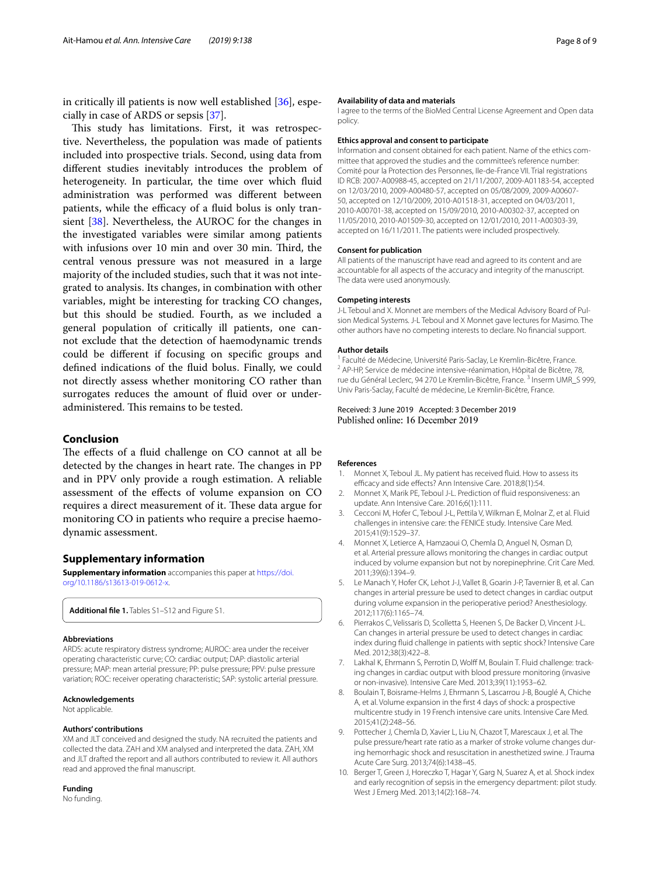in critically ill patients is now well established [[36\]](#page-8-19), especially in case of ARDS or sepsis [\[37\]](#page-8-20).

This study has limitations. First, it was retrospective. Nevertheless, the population was made of patients included into prospective trials. Second, using data from diferent studies inevitably introduces the problem of heterogeneity. In particular, the time over which fuid administration was performed was diferent between patients, while the efficacy of a fluid bolus is only transient [[38\]](#page-8-21). Nevertheless, the AUROC for the changes in the investigated variables were similar among patients with infusions over 10 min and over 30 min. Third, the central venous pressure was not measured in a large majority of the included studies, such that it was not integrated to analysis. Its changes, in combination with other variables, might be interesting for tracking CO changes, but this should be studied. Fourth, as we included a general population of critically ill patients, one cannot exclude that the detection of haemodynamic trends could be diferent if focusing on specifc groups and defned indications of the fuid bolus. Finally, we could not directly assess whether monitoring CO rather than surrogates reduces the amount of fuid over or underadministered. This remains to be tested.

## **Conclusion**

The effects of a fluid challenge on CO cannot at all be detected by the changes in heart rate. The changes in PP and in PPV only provide a rough estimation. A reliable assessment of the efects of volume expansion on CO requires a direct measurement of it. These data argue for monitoring CO in patients who require a precise haemodynamic assessment.

#### **Supplementary information**

**Supplementary information** accompanies this paper at [https://doi.](https://doi.org/10.1186/s13613-019-0612-x) [org/10.1186/s13613-019-0612-x](https://doi.org/10.1186/s13613-019-0612-x).

<span id="page-7-9"></span>**Additional fle 1.** Tables S1–S12 and Figure S1.

#### **Abbreviations**

ARDS: acute respiratory distress syndrome; AUROC: area under the receiver operating characteristic curve; CO: cardiac output; DAP: diastolic arterial pressure; MAP: mean arterial pressure; PP: pulse pressure; PPV: pulse pressure variation; ROC: receiver operating characteristic; SAP: systolic arterial pressure.

#### **Acknowledgements**

Not applicable.

#### **Authors' contributions**

XM and JLT conceived and designed the study. NA recruited the patients and collected the data. ZAH and XM analysed and interpreted the data. ZAH, XM and JLT drafted the report and all authors contributed to review it. All authors read and approved the fnal manuscript.

#### **Funding**

No funding.

#### **Availability of data and materials**

I agree to the terms of the BioMed Central License Agreement and Open data policy.

#### **Ethics approval and consent to participate**

Information and consent obtained for each patient. Name of the ethics committee that approved the studies and the committee's reference number: Comité pour la Protection des Personnes, Ile-de-France VII. Trial registrations ID RCB: 2007-A00988-45, accepted on 21/11/2007, 2009-A01183-54, accepted on 12/03/2010, 2009-A00480-57, accepted on 05/08/2009, 2009-A00607-50, accepted on 12/10/2009, 2010-A01518-31, accepted on 04/03/2011, 2010-A00701-38, accepted on 15/09/2010, 2010-A00302-37, accepted on 11/05/2010, 2010-A01509-30, accepted on 12/01/2010, 2011-A00303-39, accepted on 16/11/2011. The patients were included prospectively.

#### **Consent for publication**

All patients of the manuscript have read and agreed to its content and are accountable for all aspects of the accuracy and integrity of the manuscript. The data were used anonymously.

#### **Competing interests**

J-L Teboul and X. Monnet are members of the Medical Advisory Board of Pul‑ sion Medical Systems. J-L Teboul and X Monnet gave lectures for Masimo. The other authors have no competing interests to declare. No fnancial support.

#### **Author details**

<sup>1</sup> Faculté de Médecine, Université Paris-Saclay, Le Kremlin-Bicêtre, France.<br><sup>2</sup> AP‐HP, Service de médecine intensive‐réanimation, Hôpital de Bicêtre, 78, rue du Général Leclerc, 94 270 Le Kremlin-Bicêtre, France.<sup>3</sup> Inserm UMR\_S 999, Univ Paris-Saclay, Faculté de médecine, Le Kremlin‑Bicêtre, France.

#### Received: 3 June 2019 Accepted: 3 December 2019 Published online: 16 December 2019

#### **References**

- <span id="page-7-0"></span>1. Monnet X, Teboul JL. My patient has received fuid. How to assess its efficacy and side effects? Ann Intensive Care. 2018;8(1):54.
- <span id="page-7-1"></span>2. Monnet X, Marik PE, Teboul J-L. Prediction of fuid responsiveness: an update. Ann Intensive Care. 2016;6(1):111.
- <span id="page-7-2"></span>3. Cecconi M, Hofer C, Teboul J-L, Pettila V, Wilkman E, Molnar Z, et al. Fluid challenges in intensive care: the FENICE study. Intensive Care Med. 2015;41(9):1529–37.
- <span id="page-7-3"></span>4. Monnet X, Letierce A, Hamzaoui O, Chemla D, Anguel N, Osman D, et al. Arterial pressure allows monitoring the changes in cardiac output induced by volume expansion but not by norepinephrine. Crit Care Med. 2011;39(6):1394–9.
- <span id="page-7-4"></span>5. Le Manach Y, Hofer CK, Lehot J-J, Vallet B, Goarin J-P, Tavernier B, et al. Can changes in arterial pressure be used to detect changes in cardiac output during volume expansion in the perioperative period? Anesthesiology. 2012;117(6):1165–74.
- <span id="page-7-10"></span>6. Pierrakos C, Velissaris D, Scolletta S, Heenen S, De Backer D, Vincent J-L. Can changes in arterial pressure be used to detect changes in cardiac index during fuid challenge in patients with septic shock? Intensive Care Med. 2012;38(3):422–8.
- <span id="page-7-5"></span>7. Lakhal K, Ehrmann S, Perrotin D, Wolff M, Boulain T. Fluid challenge: tracking changes in cardiac output with blood pressure monitoring (invasive or non-invasive). Intensive Care Med. 2013;39(11):1953–62.
- <span id="page-7-6"></span>8. Boulain T, Boisrame-Helms J, Ehrmann S, Lascarrou J-B, Bouglé A, Chiche A, et al. Volume expansion in the frst 4 days of shock: a prospective multicentre study in 19 French intensive care units. Intensive Care Med. 2015;41(2):248–56.
- <span id="page-7-7"></span>9. Pottecher J, Chemla D, Xavier L, Liu N, Chazot T, Marescaux J, et al. The pulse pressure/heart rate ratio as a marker of stroke volume changes during hemorrhagic shock and resuscitation in anesthetized swine. J Trauma Acute Care Surg. 2013;74(6):1438–45.
- <span id="page-7-8"></span>10. Berger T, Green J, Horeczko T, Hagar Y, Garg N, Suarez A, et al. Shock index and early recognition of sepsis in the emergency department: pilot study. West J Emerg Med. 2013;14(2):168–74.